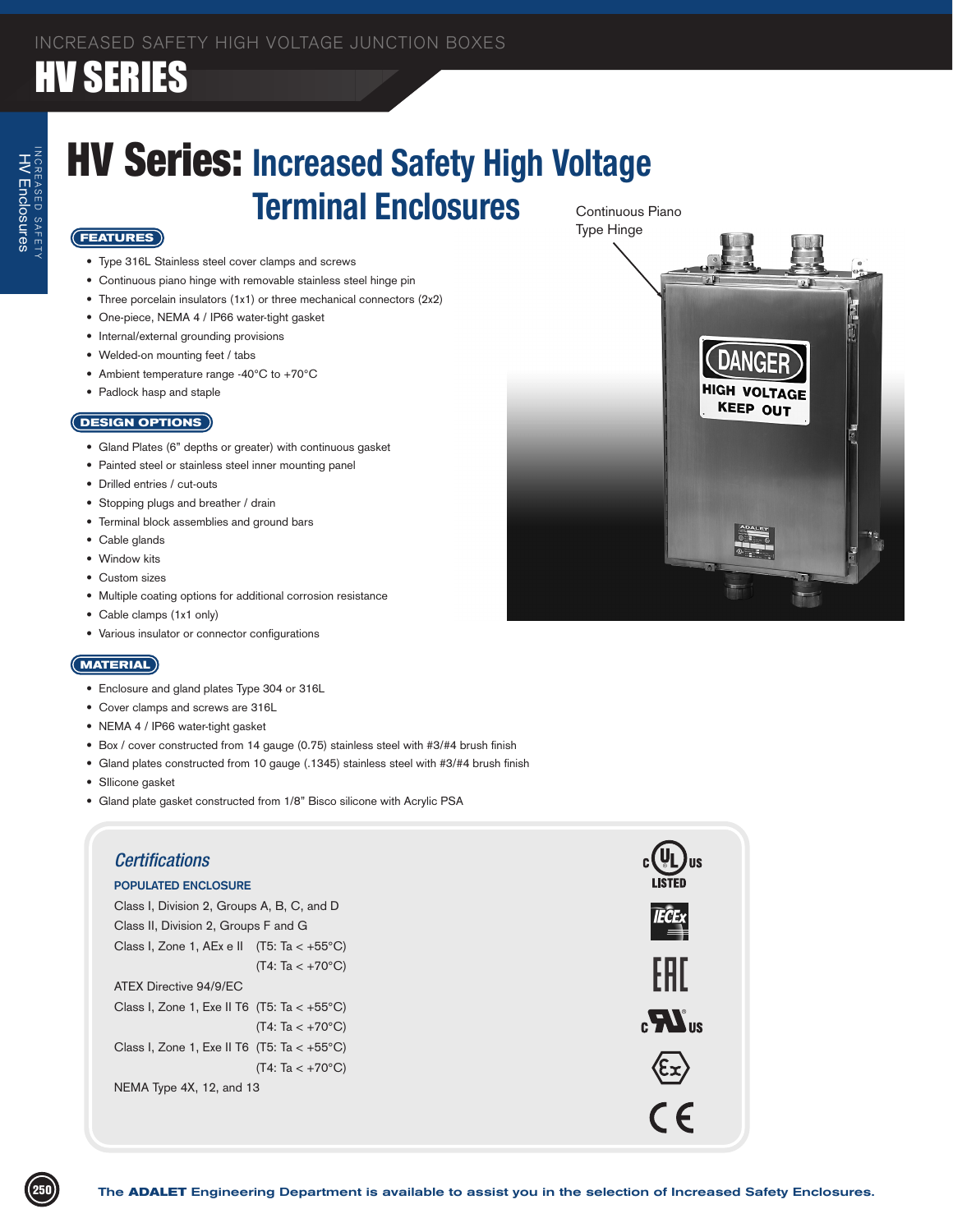## HV SERIES

### Continuous Piano HV Series: **Increased Safety High Voltage Terminal Enclosures**

#### **FEATURES**

- • Type 316L Stainless steel cover clamps and screws
- • Continuous piano hinge with removable stainless steel hinge pin
- Three porcelain insulators (1x1) or three mechanical connectors (2x2)
- • One-piece, NEMA 4 / IP66 water-tight gasket
- Internal/external grounding provisions
- • Welded-on mounting feet / tabs
- Ambient temperature range -40°C to +70°C
- • Padlock hasp and staple

#### **DESIGN OPTIONS**

- Gland Plates (6" depths or greater) with continuous gasket
- • Painted steel or stainless steel inner mounting panel
- • Drilled entries / cut-outs
- • Stopping plugs and breather / drain
- • Terminal block assemblies and ground bars
- • Cable glands
- • Window kits
- Custom sizes
- • Multiple coating options for additional corrosion resistance
- • Cable clamps (1x1 only)
- • Various insulator or connector configurations

#### **MATERIAL**

- • Enclosure and gland plates Type 304 or 316L
- • Cover clamps and screws are 316L
- NEMA 4 / IP66 water-tight gasket
- Box / cover constructed from 14 gauge (0.75) stainless steel with #3/#4 brush finish
- Gland plates constructed from 10 gauge (.1345) stainless steel with #3/#4 brush finish
- Sllicone gasket
- Gland plate gasket constructed from 1/8" Bisco silicone with Acrylic PSA



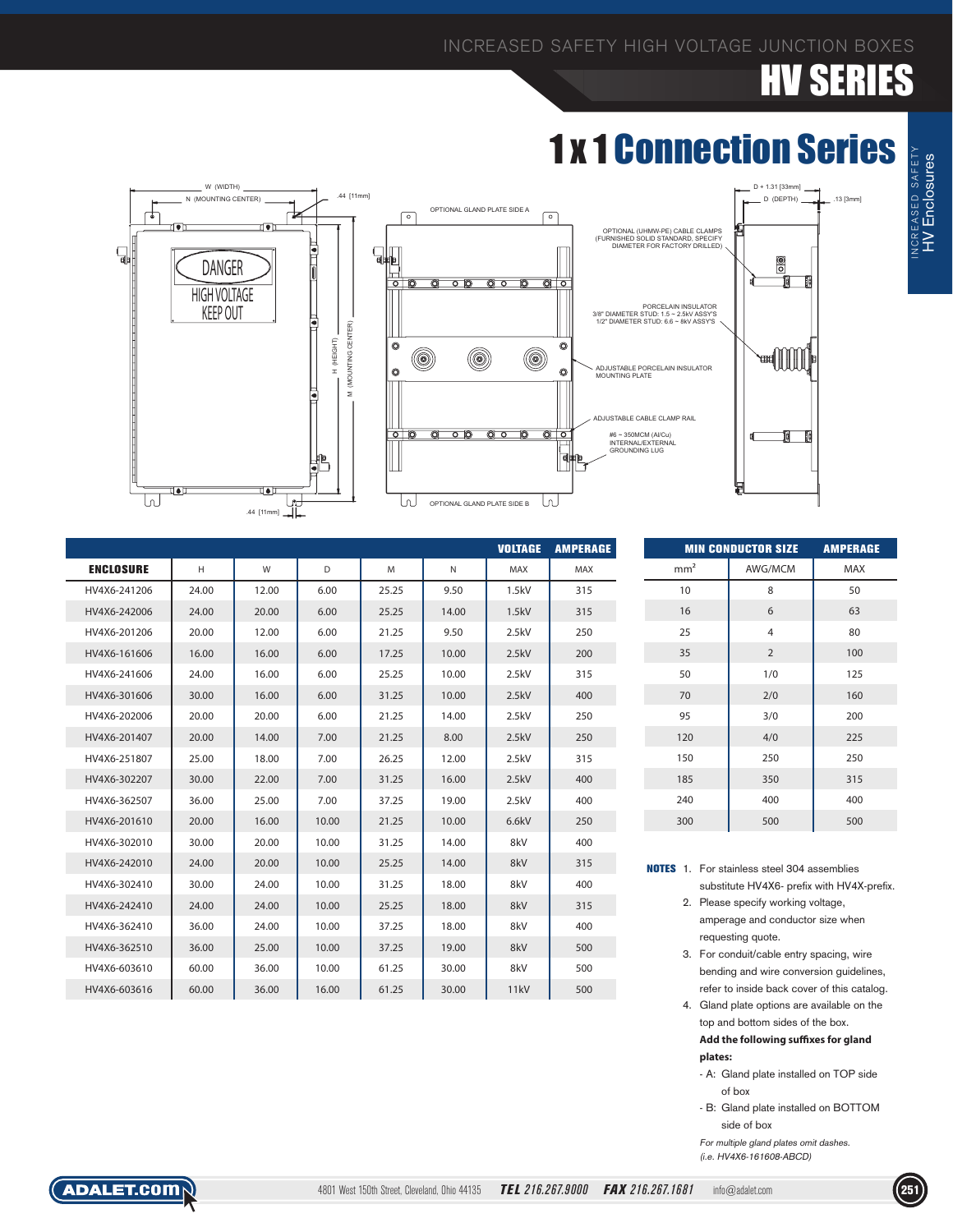# SERIES

### 1 x 1 Connection Series



|                  |       |       |       |       |              | <b>VOLTAGE</b> | <b>AMPERAGE</b> |
|------------------|-------|-------|-------|-------|--------------|----------------|-----------------|
| <b>ENCLOSURE</b> | H     | W     | D     | M     | $\mathsf{N}$ | MAX            | MAX             |
| HV4X6-241206     | 24.00 | 12.00 | 6.00  | 25.25 | 9.50         | 1.5kV          | 315             |
| HV4X6-242006     | 24.00 | 20.00 | 6.00  | 25.25 | 14.00        | 1.5kV          | 315             |
| HV4X6-201206     | 20.00 | 12.00 | 6.00  | 21.25 | 9.50         | 2.5kV          | 250             |
| HV4X6-161606     | 16.00 | 16.00 | 6.00  | 17.25 | 10.00        | 2.5kV          | 200             |
| HV4X6-241606     | 24.00 | 16.00 | 6.00  | 25.25 | 10.00        | 2.5kV          | 315             |
| HV4X6-301606     | 30.00 | 16.00 | 6.00  | 31.25 | 10.00        | 2.5kV          | 400             |
| HV4X6-202006     | 20.00 | 20.00 | 6.00  | 21.25 | 14.00        | 2.5kV          | 250             |
| HV4X6-201407     | 20.00 | 14.00 | 7.00  | 21.25 | 8.00         | 2.5kV          | 250             |
| HV4X6-251807     | 25.00 | 18.00 | 7.00  | 26.25 | 12.00        | 2.5kV          | 315             |
| HV4X6-302207     | 30.00 | 22.00 | 7.00  | 31.25 | 16.00        | 2.5kV          | 400             |
| HV4X6-362507     | 36.00 | 25.00 | 7.00  | 37.25 | 19.00        | 2.5kV          | 400             |
| HV4X6-201610     | 20.00 | 16.00 | 10.00 | 21.25 | 10.00        | 6.6kV          | 250             |
| HV4X6-302010     | 30.00 | 20.00 | 10.00 | 31.25 | 14.00        | 8kV            | 400             |
| HV4X6-242010     | 24.00 | 20.00 | 10.00 | 25.25 | 14.00        | 8kV            | 315             |
| HV4X6-302410     | 30.00 | 24.00 | 10.00 | 31.25 | 18.00        | 8kV            | 400             |
| HV4X6-242410     | 24.00 | 24.00 | 10.00 | 25.25 | 18.00        | 8kV            | 315             |
| HV4X6-362410     | 36.00 | 24.00 | 10.00 | 37.25 | 18.00        | 8kV            | 400             |
| HV4X6-362510     | 36.00 | 25.00 | 10.00 | 37.25 | 19.00        | 8kV            | 500             |
| HV4X6-603610     | 60.00 | 36.00 | 10.00 | 61.25 | 30.00        | 8kV            | 500             |
| HV4X6-603616     | 60.00 | 36.00 | 16.00 | 61.25 | 30.00        | 11kV           | 500             |

| <b>MIN CONDUCTOR SIZE</b> | <b>AMPERAGE</b> |            |
|---------------------------|-----------------|------------|
| mm <sup>2</sup>           | AWG/MCM         | <b>MAX</b> |
| 10                        | 8               | 50         |
| 16                        | 6               | 63         |
| 25                        | 4               | 80         |
| 35                        | 2               | 100        |
| 50                        | 1/0             | 125        |
| 70                        | 2/0             | 160        |
| 95                        | 3/0             | 200        |
| 120                       | 4/0             | 225        |
| 150                       | 250             | 250        |
| 185                       | 350             | 315        |
| 240                       | 400             | 400        |
| 300                       | 500             | 500        |

NOTES 1. For stainless steel 304 assemblies substitute HV4X6- prefix with HV4X-prefix.

- 2. Please specify working voltage, amperage and conductor size when requesting quote.
- 3. For conduit/cable entry spacing, wire bending and wire conversion guidelines, refer to inside back cover of this catalog.
- 4. Gland plate options are available on the top and bottom sides of the box.

 **Add the following suffixes for gland plates:**

- A: Gland plate installed on TOP side of box
- B: Gland plate installed on BOTTOM side of box

 For multiple gland plates omit dashes. (i.e. HV4X6-161608-ABCD)